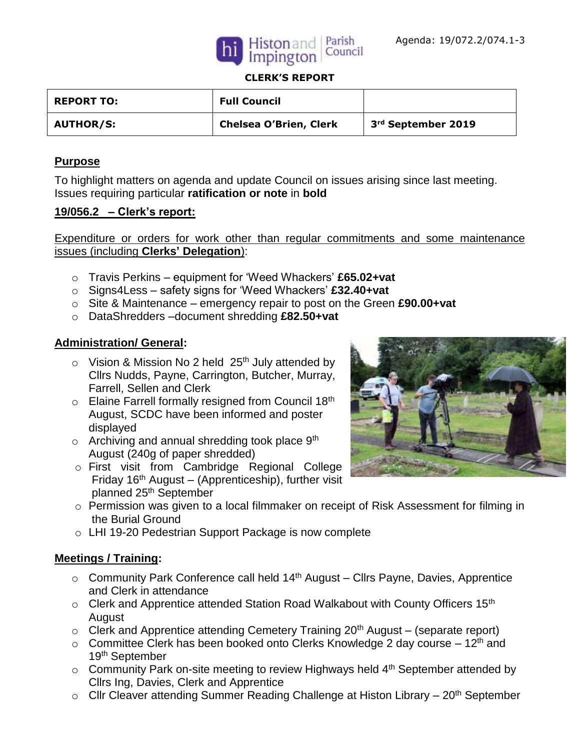



### **CLERK'S REPORT**

| <b>REPORT TO:</b> | <b>Full Council</b>           |                                |
|-------------------|-------------------------------|--------------------------------|
| <b>AUTHOR/S:</b>  | <b>Chelsea O'Brien, Clerk</b> | 3 <sup>rd</sup> September 2019 |

### **Purpose**

To highlight matters on agenda and update Council on issues arising since last meeting. Issues requiring particular **ratification or note** in **bold**

### **19/056.2 – Clerk's report:**

Expenditure or orders for work other than regular commitments and some maintenance issues (including **Clerks' Delegation**):

- o Travis Perkins equipment for 'Weed Whackers' **£65.02+vat**
- o Signs4Less safety signs for 'Weed Whackers' **£32.40+vat**
- o Site & Maintenance emergency repair to post on the Green **£90.00+vat**
- o DataShredders –document shredding **£82.50+vat**

## **Administration/ General:**

- $\circ$  Vision & Mission No 2 held 25<sup>th</sup> July attended by Cllrs Nudds, Payne, Carrington, Butcher, Murray, Farrell, Sellen and Clerk
- $\circ$  Elaine Farrell formally resigned from Council 18<sup>th</sup> August, SCDC have been informed and poster displayed
- $\circ$  Archiving and annual shredding took place  $9<sup>th</sup>$ August (240g of paper shredded)
- o First visit from Cambridge Regional College Friday  $16<sup>th</sup>$  August – (Apprenticeship), further visit planned 25th September
- 
- o Permission was given to a local filmmaker on receipt of Risk Assessment for filming in the Burial Ground
- o LHI 19-20 Pedestrian Support Package is now complete

### **Meetings / Training:**

- $\circ$  Community Park Conference call held 14<sup>th</sup> August Cllrs Payne, Davies, Apprentice and Clerk in attendance
- $\circ$  Clerk and Apprentice attended Station Road Walkabout with County Officers 15<sup>th</sup> August
- $\circ$  Clerk and Apprentice attending Cemetery Training 20<sup>th</sup> August (separate report)
- $\circ$  Committee Clerk has been booked onto Clerks Knowledge 2 day course 12<sup>th</sup> and 19th September
- $\circ$  Community Park on-site meeting to review Highways held 4<sup>th</sup> September attended by Cllrs Ing, Davies, Clerk and Apprentice
- $\circ$  Cllr Cleaver attending Summer Reading Challenge at Histon Library 20<sup>th</sup> September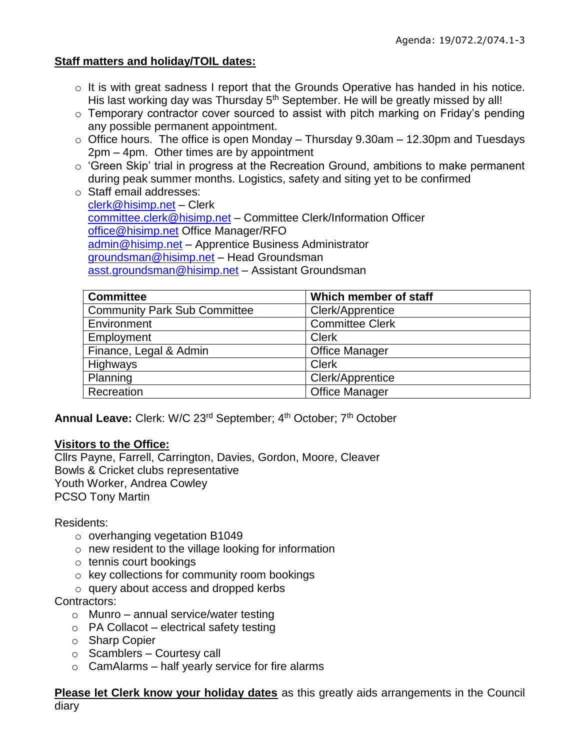## **Staff matters and holiday/TOIL dates:**

- o It is with great sadness I report that the Grounds Operative has handed in his notice. His last working day was Thursday 5<sup>th</sup> September. He will be greatly missed by all!
- $\circ$  Temporary contractor cover sourced to assist with pitch marking on Friday's pending any possible permanent appointment.
- $\circ$  Office hours. The office is open Monday Thursday 9.30am 12.30pm and Tuesdays 2pm – 4pm. Other times are by appointment
- o 'Green Skip' trial in progress at the Recreation Ground, ambitions to make permanent during peak summer months. Logistics, safety and siting yet to be confirmed
- o Staff email addresses: [clerk@hisimp.net](mailto:clerk@hisimp.net) – Clerk [committee.clerk@hisimp.net](mailto:committee.clerk@hisimp.net) – Committee Clerk/Information Officer [office@hisimp.net](mailto:office@hisimp.net) Office Manager/RFO [admin@hisimp.net](mailto:admin@hisimp.net) – Apprentice Business Administrator [groundsman@hisimp.net](mailto:groundsman@hisimp.net) – Head Groundsman [asst.groundsman@hisimp.net](mailto:asst.groundsman@hisimp.net) – Assistant Groundsman

| <b>Committee</b>                    | Which member of staff  |
|-------------------------------------|------------------------|
| <b>Community Park Sub Committee</b> | Clerk/Apprentice       |
| Environment                         | <b>Committee Clerk</b> |
| Employment                          | <b>Clerk</b>           |
| Finance, Legal & Admin              | <b>Office Manager</b>  |
| Highways                            | <b>Clerk</b>           |
| Planning                            | Clerk/Apprentice       |
| Recreation                          | <b>Office Manager</b>  |

**Annual Leave:** Clerk: W/C 23<sup>rd</sup> September; 4<sup>th</sup> October; 7<sup>th</sup> October

## **Visitors to the Office:**

Cllrs Payne, Farrell, Carrington, Davies, Gordon, Moore, Cleaver Bowls & Cricket clubs representative Youth Worker, Andrea Cowley PCSO Tony Martin

## Residents:

- o overhanging vegetation B1049
- o new resident to the village looking for information
- o tennis court bookings
- o key collections for community room bookings
- o query about access and dropped kerbs

## Contractors:

- $\circ$  Munro annual service/water testing
- $\circ$  PA Collacot electrical safety testing
- o Sharp Copier
- $\circ$  Scamblers Courtesy call
- $\circ$  CamAlarms half yearly service for fire alarms

**Please let Clerk know your holiday dates** as this greatly aids arrangements in the Council diary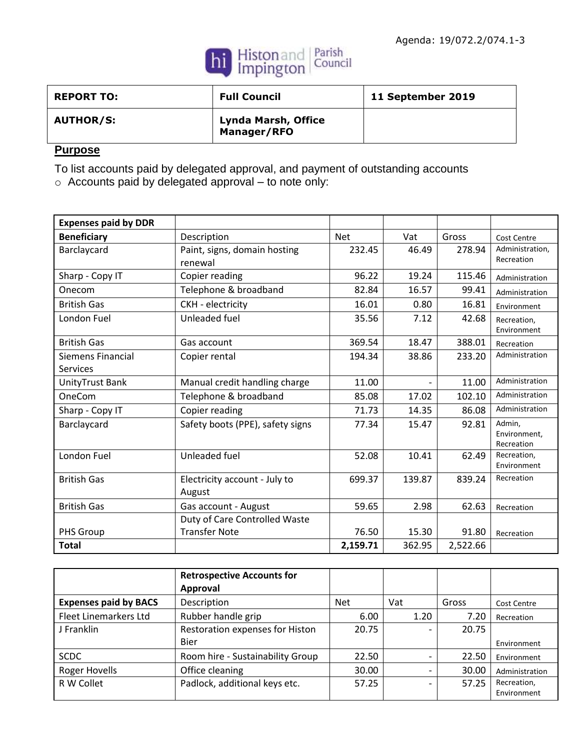

| <b>REPORT TO:</b> | <b>Full Council</b>                | 11 September 2019 |
|-------------------|------------------------------------|-------------------|
| <b>AUTHOR/S:</b>  | Lynda Marsh, Office<br>Manager/RFO |                   |

# **Purpose**

To list accounts paid by delegated approval, and payment of outstanding accounts

o Accounts paid by delegated approval – to note only:

| <b>Expenses paid by DDR</b> |                                  |            |        |          |                           |
|-----------------------------|----------------------------------|------------|--------|----------|---------------------------|
| <b>Beneficiary</b>          | Description                      | <b>Net</b> | Vat    | Gross    | <b>Cost Centre</b>        |
| Barclaycard                 | Paint, signs, domain hosting     | 232.45     | 46.49  | 278.94   | Administration,           |
|                             | renewal                          |            |        |          | Recreation                |
| Sharp - Copy IT             | Copier reading                   | 96.22      | 19.24  | 115.46   | Administration            |
| Onecom                      | Telephone & broadband            | 82.84      | 16.57  | 99.41    | Administration            |
| <b>British Gas</b>          | CKH - electricity                | 16.01      | 0.80   | 16.81    | Environment               |
| London Fuel                 | Unleaded fuel                    | 35.56      | 7.12   | 42.68    | Recreation,               |
|                             |                                  |            |        |          | Environment               |
| <b>British Gas</b>          | Gas account                      | 369.54     | 18.47  | 388.01   | Recreation                |
| Siemens Financial           | Copier rental                    | 194.34     | 38.86  | 233.20   | Administration            |
| <b>Services</b>             |                                  |            |        |          |                           |
| UnityTrust Bank             | Manual credit handling charge    | 11.00      |        | 11.00    | Administration            |
| OneCom                      | Telephone & broadband            | 85.08      | 17.02  | 102.10   | Administration            |
| Sharp - Copy IT             | Copier reading                   | 71.73      | 14.35  | 86.08    | Administration            |
| Barclaycard                 | Safety boots (PPE), safety signs | 77.34      | 15.47  | 92.81    | Admin,                    |
|                             |                                  |            |        |          | Environment,              |
| London Fuel                 | Unleaded fuel                    | 52.08      | 10.41  | 62.49    | Recreation<br>Recreation, |
|                             |                                  |            |        |          | Environment               |
| <b>British Gas</b>          | Electricity account - July to    | 699.37     | 139.87 | 839.24   | Recreation                |
|                             | August                           |            |        |          |                           |
| <b>British Gas</b>          | Gas account - August             | 59.65      | 2.98   | 62.63    | Recreation                |
|                             | Duty of Care Controlled Waste    |            |        |          |                           |
| PHS Group                   | <b>Transfer Note</b>             | 76.50      | 15.30  | 91.80    | Recreation                |
| <b>Total</b>                |                                  | 2,159.71   | 362.95 | 2,522.66 |                           |

|                              | <b>Retrospective Accounts for</b><br>Approval |            |      |       |                    |
|------------------------------|-----------------------------------------------|------------|------|-------|--------------------|
| <b>Expenses paid by BACS</b> | Description                                   | <b>Net</b> | Vat  | Gross | <b>Cost Centre</b> |
| <b>Fleet Linemarkers Ltd</b> | Rubber handle grip                            | 6.00       | 1.20 | 7.20  | Recreation         |
| J Franklin                   | Restoration expenses for Histon               | 20.75      |      | 20.75 |                    |
|                              | <b>Bier</b>                                   |            |      |       | Environment        |
| <b>SCDC</b>                  | Room hire - Sustainability Group              | 22.50      |      | 22.50 | Environment        |
| <b>Roger Hovells</b>         | Office cleaning                               | 30.00      |      | 30.00 | Administration     |
| R W Collet                   | Padlock, additional keys etc.                 | 57.25      |      | 57.25 | Recreation,        |
|                              |                                               |            |      |       | Environment        |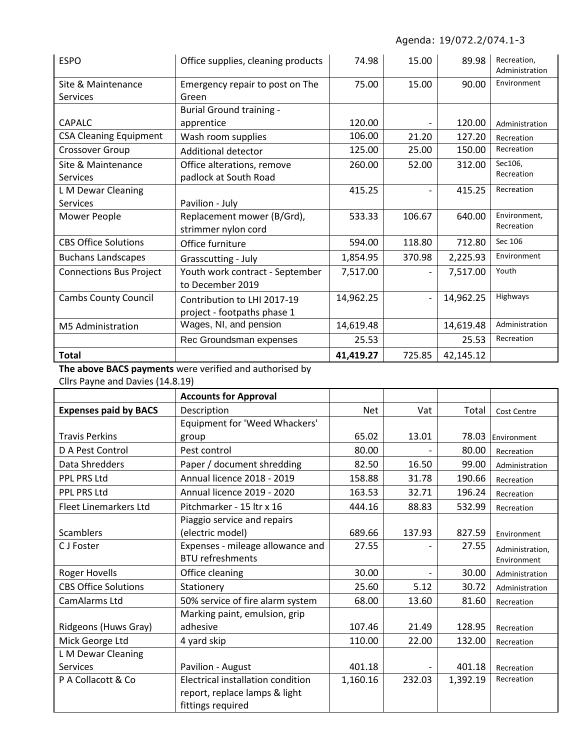| <b>ESPO</b>                    | Office supplies, cleaning products | 74.98     | 15.00  | 89.98     | Recreation,<br>Administration |
|--------------------------------|------------------------------------|-----------|--------|-----------|-------------------------------|
| Site & Maintenance             | Emergency repair to post on The    | 75.00     | 15.00  | 90.00     | Environment                   |
| <b>Services</b>                | Green                              |           |        |           |                               |
|                                | <b>Burial Ground training -</b>    |           |        |           |                               |
| <b>CAPALC</b>                  | apprentice                         | 120.00    |        | 120.00    | Administration                |
| <b>CSA Cleaning Equipment</b>  | Wash room supplies                 | 106.00    | 21.20  | 127.20    | Recreation                    |
| Crossover Group                | Additional detector                | 125.00    | 25.00  | 150.00    | Recreation                    |
| Site & Maintenance             | Office alterations, remove         | 260.00    | 52.00  | 312.00    | Sec106,                       |
| Services                       | padlock at South Road              |           |        |           | Recreation                    |
| L M Dewar Cleaning             |                                    | 415.25    |        | 415.25    | Recreation                    |
| <b>Services</b>                | Pavilion - July                    |           |        |           |                               |
| Mower People                   | Replacement mower (B/Grd),         | 533.33    | 106.67 | 640.00    | Environment,                  |
|                                | strimmer nylon cord                |           |        |           | Recreation                    |
| <b>CBS Office Solutions</b>    | Office furniture                   | 594.00    | 118.80 | 712.80    | Sec 106                       |
| <b>Buchans Landscapes</b>      | Grasscutting - July                | 1,854.95  | 370.98 | 2,225.93  | Environment                   |
| <b>Connections Bus Project</b> | Youth work contract - September    | 7,517.00  |        | 7,517.00  | Youth                         |
|                                | to December 2019                   |           |        |           |                               |
| <b>Cambs County Council</b>    | Contribution to LHI 2017-19        | 14,962.25 |        | 14,962.25 | Highways                      |
|                                | project - footpaths phase 1        |           |        |           |                               |
| M5 Administration              | Wages, NI, and pension             | 14,619.48 |        | 14,619.48 | Administration                |
|                                | Rec Groundsman expenses            | 25.53     |        | 25.53     | Recreation                    |
| <b>Total</b>                   |                                    | 41,419.27 | 725.85 | 42,145.12 |                               |

**The above BACS payments** were verified and authorised by

Cllrs Payne and Davies (14.8.19)

|                              | <b>Accounts for Approval</b>              |            |        |                |                 |
|------------------------------|-------------------------------------------|------------|--------|----------------|-----------------|
| <b>Expenses paid by BACS</b> | Description                               | <b>Net</b> | Vat    | Total          | Cost Centre     |
|                              | Equipment for 'Weed Whackers'             |            |        |                |                 |
| <b>Travis Perkins</b>        | group                                     | 65.02      | 13.01  | 78.03          | Environment     |
| D A Pest Control             | Pest control                              | 80.00      |        | 80.00          | Recreation      |
| Data Shredders               | Paper / document shredding                | 82.50      | 16.50  | 99.00          | Administration  |
| PPL PRS Ltd                  | Annual licence 2018 - 2019                | 158.88     | 31.78  | 190.66         | Recreation      |
| <b>PPL PRS Ltd</b>           | Annual licence 2019 - 2020                | 163.53     | 32.71  | 196.24         | Recreation      |
| <b>Fleet Linemarkers Ltd</b> | Pitchmarker - 15 ltr x 16                 | 444.16     | 88.83  | 532.99         | Recreation      |
|                              | Piaggio service and repairs               |            |        |                |                 |
| <b>Scamblers</b>             | (electric model)                          | 689.66     | 137.93 | 827.59         | Environment     |
| C J Foster                   | Expenses - mileage allowance and<br>27.55 |            |        | 27.55          | Administration, |
|                              | <b>BTU refreshments</b>                   |            |        |                | Environment     |
| <b>Roger Hovells</b>         | 30.00<br>Office cleaning                  |            | 30.00  | Administration |                 |
| <b>CBS Office Solutions</b>  | Stationery                                | 25.60      | 5.12   | 30.72          | Administration  |
| CamAlarms Ltd                | 50% service of fire alarm system          | 68.00      | 13.60  | 81.60          | Recreation      |
|                              | Marking paint, emulsion, grip             |            |        |                |                 |
| Ridgeons (Huws Gray)         | adhesive                                  | 107.46     | 21.49  | 128.95         | Recreation      |
| Mick George Ltd              | 4 yard skip                               | 110.00     | 22.00  | 132.00         | Recreation      |
| L M Dewar Cleaning           |                                           |            |        |                |                 |
| <b>Services</b>              | Pavilion - August<br>401.18               |            | 401.18 | Recreation     |                 |
| P A Collacott & Co           | Electrical installation condition         | 1,160.16   | 232.03 | 1,392.19       | Recreation      |
|                              | report, replace lamps & light             |            |        |                |                 |
|                              | fittings required                         |            |        |                |                 |